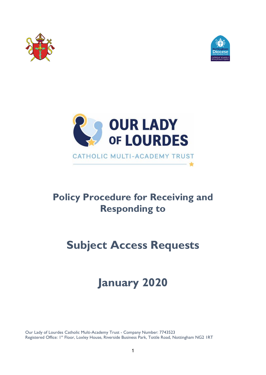





# **Policy Procedure for Receiving and Responding to**

# **Subject Access Requests**

# **January 2020**

Our Lady of Lourdes Catholic Multi-Academy Trust - Company Number: 7743523 Registered Office: 1st Floor, Loxley House, Riverside Business Park, Tottle Road, Nottingham NG2 IRT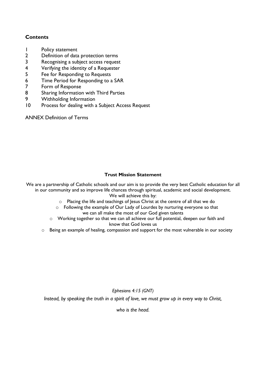# **Contents**

- 1 Policy statement
- 2 Definition of data protection terms
- 3 Recognising a subject access request
- 4 Verifying the identity of a Requester
- 5 Fee for Responding to Requests
- 6 Time Period for Responding to a SAR
- 7 Form of Response
- 8 Sharing Information with Third Parties
- 9 Withholding Information
- 10 Process for dealing with a Subject Access Request

ANNEX Definition of Terms

# **Trust Mission Statement**

We are a partnership of Catholic schools and our aim is to provide the very best Catholic education for all in our community and so improve life chances through spiritual, academic and social development. We will achieve this by:

- o Placing the life and teachings of Jesus Christ at the centre of all that we do
- o Following the example of Our Lady of Lourdes by nurturing everyone so that we can all make the most of our God given talents
- o Working together so that we can all achieve our full potential, deepen our faith and know that God loves us
- o Being an example of healing, compassion and support for the most vulnerable in our society

*Ephesians 4:15 (GNT)*

*Instead, by speaking the truth in a spirit of love, we must grow up in every way to Christ,* 

*who is the head.*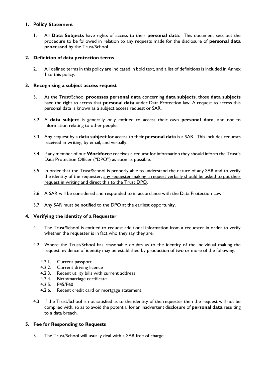# **1. Policy Statement**

1.1. All **Data Subjects** have rights of access to their **personal data**. This document sets out the procedure to be followed in relation to any requests made for the disclosure of **personal data processed** by the Trust/School.

# **2. Definition of data protection terms**

2.1. All defined terms in this policy are indicated in bold text, and a list of definitions is included in Annex 1 to this policy.

#### **3. Recognising a subject access request**

- 3.1. As the Trust/School **processes personal data** concerning **data subjects**, those **data subjects** have the right to access that **personal data** under Data Protection law. A request to access this personal data is known as a subject access request or SAR.
- 3.2. A **data subject** is generally only entitled to access their own **personal data**, and not to information relating to other people.
- 3.3. Any request by a **data subject** for access to their **personal data** is a SAR. This includes requests received in writing, by email, and verbally.
- 3.4. If any member of our **Workforce** receives a request for information they should inform the Trust's Data Protection Officer ("DPO") as soon as possible.
- 3.5. In order that the Trust/School is properly able to understand the nature of any SAR and to verify the identity of the requester, any requester making a request verbally should be asked to put their request in writing and direct this to the Trust DPO.
- 3.6. A SAR will be considered and responded to in accordance with the Data Protection Law.
- 3.7. Any SAR must be notified to the DPO at the earliest opportunity.

# **4. Verifying the identity of a Requester**

- 4.1. The Trust/School is entitled to request additional information from a requester in order to verify whether the requester is in fact who they say they are.
- 4.2. Where the Trust/School has reasonable doubts as to the identity of the individual making the request, evidence of identity may be established by production of two or more of the following:
	- 4.2.1. Current passport
	- 4.2.2. Current driving licence
	- 4.2.3. Recent utility bills with current address
	- 4.2.4. Birth/marriage certificate
	- 4.2.5. P45/P60
	- 4.2.6. Recent credit card or mortgage statement
- 4.3. If the Trust/School is not satisfied as to the identity of the requester then the request will not be complied with, so as to avoid the potential for an inadvertent disclosure of **personal data** resulting to a data breach.

# **5. Fee for Responding to Requests**

5.1. The Trust/School will usually deal with a SAR free of charge.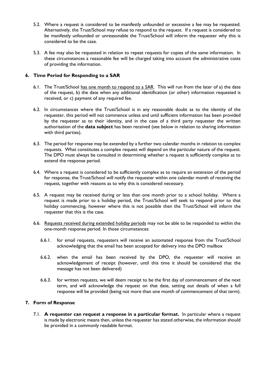- 5.2. Where a request is considered to be manifestly unfounded or excessive a fee may be requested. Alternatively, the Trust/School may refuse to respond to the request. If a request is considered to be manifestly unfounded or unreasonable the Trust/School will inform the requester why this is considered to be the case.
- 5.3. A fee may also be requested in relation to repeat requests for copies of the same information. In these circumstances a reasonable fee will be charged taking into account the administrative costs of providing the information.

# **6. Time Period for Responding to a SAR**

- 6.1. The Trust/School has one month to respond to a SAR. This will run from the later of a) the date of the request, b) the date when any additional identification (or other) information requested is received, or c) payment of any required fee.
- 6.2. In circumstances where the Trust/School is in any reasonable doubt as to the identity of the requester, this period will not commence unless and until sufficient information has been provided by the requester as to their identity, and in the case of a third party requester the written authorisation of the **data subject** has been received (see below in relation to sharing information with third parties).
- 6.3. The period for response may be extended by a further two calendar months in relation to complex requests. What constitutes a complex request will depend on the particular nature of the request. The DPO must always be consulted in determining whether a request is sufficiently complex as to extend the response period.
- 6.4. Where a request is considered to be sufficiently complex as to require an extension of the period for response, the Trust/School will notify the requester within one calendar month of receiving the request, together with reasons as to why this is considered necessary.
- 6.5. A request may be received during or less than one month prior to a school holiday. Where a request is made prior to a holiday period, the Trust/School will seek to respond prior to that holiday commencing, however where this is not possible then the Trust/School will inform the requester that this is the case.
- 6.6. Requests received during extended holiday periods may not be able to be responded to within the one-month response period. In those circumstances:
	- 6.6.1. for email requests, requesters will receive an automated response from the Trust/School acknowledging that the email has been accepted for delivery into the DPO mailbox
	- 6.6.2. when the email has been received by the DPO, the requester will receive an acknowledgement of receipt (however, until this time it should be considered that the message has not been delivered)
	- 6.6.3. for written requests, we will deem receipt to be the first day of commencement of the next term, and will acknowledge the request on that date, setting out details of when a full response will be provided (being not more than one month of commencement of that term).

# **7. Form of Response**

7.1. **A requester can request a response in a particular format.** In particular where a request is made by electronic means then, unless the requester has stated otherwise, the information should be provided in a commonly readable format.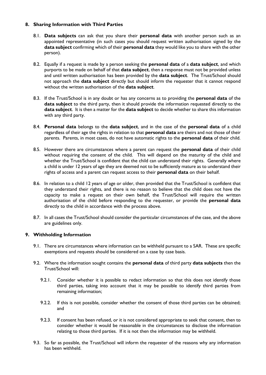# **8. Sharing Information with Third Parties**

- 8.1. **Data subjects** can ask that you share their **personal data** with another person such as an appointed representative (in such cases you should request written authorisation signed by the **data subject** confirming which of their **personal data** they would like you to share with the other person).
- 8.2. Equally if a request is made by a person seeking the **personal data** of a **data subject**, and which purports to be made on behalf of that **data subject**, then a response must not be provided unless and until written authorisation has been provided by the **data subject**. The Trust/School should not approach the **data subject** directly but should inform the requester that it cannot respond without the written authorisation of the **data subject**.
- 8.3. If the Trust/School is in any doubt or has any concerns as to providing the **personal data** of the **data subject** to the third party, then it should provide the information requested directly to the **data subject**. It is then a matter for the **data subject** to decide whether to share this information with any third party.
- 8.4. **Personal data** belongs to the **data subject**, and in the case of the **personal data** of a child regardless of their age the rights in relation to that **personal data** are theirs and not those of their parents. Parents, in most cases, do not have automatic rights to the **personal data** of their child.
- 8.5. However there are circumstances where a parent can request the **personal data** of their child without requiring the consent of the child. This will depend on the maturity of the child and whether the Trust/School is confident that the child can understand their rights. Generally where a child is under 12 years of age they are deemed not to be sufficiently mature as to understand their rights of access and a parent can request access to their **personal data** on their behalf.
- 8.6. In relation to a child 12 years of age or older, then provided that the Trust/School is confident that they understand their rights, and there is no reason to believe that the child does not have the capacity to make a request on their own behalf, the Trust/School will require the written authorisation of the child before responding to the requester, or provide the **personal data** directly to the child in accordance with the process above.
- 8.7. In all cases the Trust/School should consider the particular circumstances of the case, and the above are guidelines only.

# **9. Withholding Information**

- 9.1. There are circumstances where information can be withheld pursuant to a SAR. These are specific exemptions and requests should be considered on a case by case basis.
- 9.2. Where the information sought contains the **personal data** of third party **data subjects** then the Trust/School will:
	- 9.2.1. Consider whether it is possible to redact information so that this does not identify those third parties, taking into account that it may be possible to identify third parties from remaining information;
	- 9.2.2. If this is not possible, consider whether the consent of those third parties can be obtained; and
	- 9.2.3. If consent has been refused, or it is not considered appropriate to seek that consent, then to consider whether it would be reasonable in the circumstances to disclose the information relating to those third parties. If it is not then the information may be withheld.
- 9.3. So far as possible, the Trust/School will inform the requester of the reasons why any information has been withheld.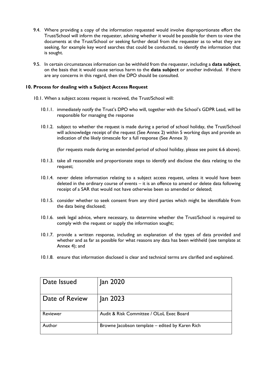- 9.4. Where providing a copy of the information requested would involve disproportionate effort the Trust/School will inform the requester, advising whether it would be possible for them to view the documents at the Trust/School or seeking further detail from the requester as to what they are seeking, for example key word searches that could be conducted, to identify the information that is sought.
- 9.5. In certain circumstances information can be withheld from the requester, including a **data subject**, on the basis that it would cause serious harm to the **data subject** or another individual. If there are any concerns in this regard, then the DPO should be consulted.

#### **10. Process for dealing with a Subject Access Request**

- 10.1. When a subject access request is received, the Trust/School will:
	- 10.1.1. immediately notify the Trust's DPO who will, together with the School's GDPR Lead, will be responsible for managing the response
	- 10.1.2. subject to whether the request is made during a period of school holiday, the Trust/School will acknowledge receipt of the request (See Annex 2) within 5 working days and provide an indication of the likely timescale for a full response (See Annex 3)

(for requests made during an extended period of school holiday, please see point 6.6 above).

- 10.1.3. take all reasonable and proportionate steps to identify and disclose the data relating to the request;
- 10.1.4. never delete information relating to a subject access request, unless it would have been deleted in the ordinary course of events – it is an offence to amend or delete data following receipt of a SAR that would not have otherwise been so amended or deleted;
- 10.1.5. consider whether to seek consent from any third parties which might be identifiable from the data being disclosed;
- 10.1.6. seek legal advice, where necessary, to determine whether the Trust/School is required to comply with the request or supply the information sought;
- 10.1.7. provide a written response, including an explanation of the types of data provided and whether and as far as possible for what reasons any data has been withheld (see template at Annex 4); and
- 10.1.8. ensure that information disclosed is clear and technical terms are clarified and explained.

| Date Issued    | Jan 2020                                        |
|----------------|-------------------------------------------------|
| Date of Review | Jan 2023                                        |
| Reviewer       | Audit & Risk Committee / OLoL Exec Board        |
| Author         | Browne Jacobson template – edited by Karen Rich |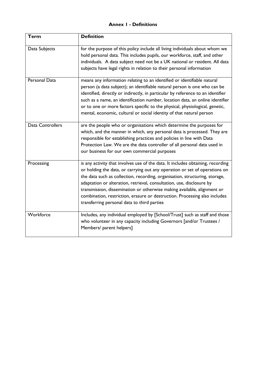# **Annex 1 - Definitions**

| <b>Term</b>      | <b>Definition</b>                                                                                                                                                                                                                                                                                                                                                                                                                                                                                                             |
|------------------|-------------------------------------------------------------------------------------------------------------------------------------------------------------------------------------------------------------------------------------------------------------------------------------------------------------------------------------------------------------------------------------------------------------------------------------------------------------------------------------------------------------------------------|
| Data Subjects    | for the purpose of this policy include all living individuals about whom we<br>hold personal data. This includes pupils, our workforce, staff, and other<br>individuals. A data subject need not be a UK national or resident. All data<br>subjects have legal rights in relation to their personal information                                                                                                                                                                                                               |
| Personal Data    | means any information relating to an identified or identifiable natural<br>person (a data subject); an identifiable natural person is one who can be<br>identified, directly or indirectly, in particular by reference to an identifier<br>such as a name, an identification number, location data, an online identifier<br>or to one or more factors specific to the physical, physiological, genetic,<br>mental, economic, cultural or social identity of that natural person                                               |
| Data Controllers | are the people who or organisations which determine the purposes for<br>which, and the manner in which, any personal data is processed. They are<br>responsible for establishing practices and policies in line with Data<br>Protection Law. We are the data controller of all personal data used in<br>our business for our own commercial purposes                                                                                                                                                                          |
| Processing       | is any activity that involves use of the data. It includes obtaining, recording<br>or holding the data, or carrying out any operation or set of operations on<br>the data such as collection, recording, organisation, structuring, storage,<br>adaptation or alteration, retrieval, consultation, use, disclosure by<br>transmission, dissemination or otherwise making available, alignment or<br>combination, restriction, erasure or destruction. Processing also includes<br>transferring personal data to third parties |
| Workforce        | Includes, any individual employed by [School/Trust] such as staff and those<br>who volunteer in any capacity including Governors [and/or Trustees /<br>Members/ parent helpers]                                                                                                                                                                                                                                                                                                                                               |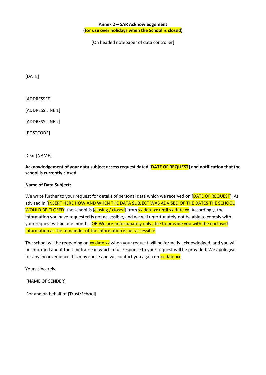[On headed notepaper of data controller]

[DATE]

[ADDRESSEE]

[ADDRESS LINE 1]

[ADDRESS LINE 2]

[POSTCODE]

Dear [NAME],

**Acknowledgement of your data subject access request dated [DATE OF REQUEST] and notification that the school is currently closed.** 

#### **Name of Data Subject:**

We write further to your request for details of personal data which we received on [DATE OF REQUEST]. As advised in [INSERT HERE HOW AND WHEN THE DATA SUBJECT WAS ADVISED OF THE DATES THE SCHOOL WOULD BE CLOSED] the school is [closing / closed] from xx date xx until xx date xx. Accordingly, the information you have requested is not accessible, and we will unfortunately not be able to comply with your request within one month. [OR We are unfortunately only able to provide you with the enclosed information as the remainder of the information is not accessible]

The school will be reopening on xx date xx when your request will be formally acknowledged, and you will be informed about the timeframe in which a full response to your request will be provided. We apologise for any inconvenience this may cause and will contact you again on xx date xx.

Yours sincerely,

[NAME OF SENDER]

For and on behalf of [Trust/School]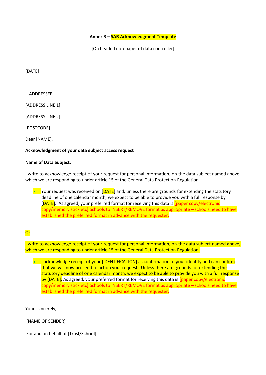**Annex 3 – SAR Acknowledgment Template**

[On headed notepaper of data controller]

[DATE]

[|ADDRESSEE]

[ADDRESS LINE 1]

[ADDRESS LINE 2]

[POSTCODE]

Dear [NAME],

#### **Acknowledgment of your data subject access request**

#### **Name of Data Subject:**

I write to acknowledge receipt of your request for personal information, on the data subject named above, which we are responding to under article 15 of the General Data Protection Regulation.

• Your request was received on  $[DATE]$  and, unless there are grounds for extending the statutory deadline of one calendar month, we expect to be able to provide you with a full response by [DATE]. As agreed, your preferred format for receiving this data is [paper copy/electronic copy/memory stick etc] Schools to INSERT/REMOVE format as appropriate – schools need to have established the preferred format in advance with the requester.

# **Or**

I write to acknowledge receipt of your request for personal information, on the data subject named above, which we are responding to under article 15 of the General Data Protection Regulation.

• I acknowledge receipt of your [IDENTIFICATION] as confirmation of your identity and can confirm that we will now proceed to action your request. Unless there are grounds for extending the statutory deadline of one calendar month, we expect to be able to provide you with a full response by [DATE]. As agreed, your preferred format for receiving this data is [paper copy/electronic copy/memory stick etc] Schools to INSERT/REMOVE format as appropriate – schools need to have established the preferred format in advance with the requester.

Yours sincerely,

[NAME OF SENDER]

For and on behalf of [Trust/School]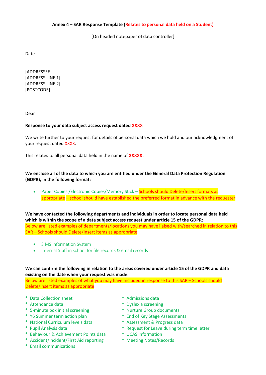#### **Annex 4 – SAR Response Template (Relates to personal data held on a Student)**

[On headed notepaper of data controller]

Date

[ADDRESSEE] [ADDRESS LINE 1] [ADDRESS LINE 2] [POSTCODE]

Dear

#### **Response to your data subject access request dated XXXX**

We write further to your request for details of personal data which we hold and our acknowledgment of your request dated XXXX.

This relates to all personal data held in the name of **XXXXX.**

**We enclose all of the data to which you are entitled under the General Data Protection Regulation (GDPR), in the following format:**

• Paper Copies / Electronic Copies/Memory Stick – Schools should Delete/Insert formats as appropriate – school should have established the preferred format in advance with the requester

**We have contacted the following departments and individuals in order to locate personal data held which is within the scope of a data subject access request under article 15 of the GDPR:**

Below are listed examples of departments/locations you may have liaised with/searched in relation to this SAR – Schools should Delete/Insert items as appropriate

- SIMS Information System
- Internal Staff in school for file records & email records

# **We can confirm the following in relation to the areas covered under article 15 of the GDPR and data existing on the date when your request was made:**

Below are listed examples of what you may have included in response to this SAR – Schools should Delete/Insert items as appropriate

- \* Data Collection sheet \* Admissions data
- 
- \* 5-minute box initial screening \* Nurture Group documents
- 
- \* National Curriculum levels data \* Assessment & Progress data
- 
- \* Behaviour & Achievement Points data \* UCAS information
- \* Accident/Incident/First Aid reporting \* Meeting Notes/Records
- \* Email communications
- 
- \* Attendance data \* Dyslexia screening
	-
- \* Y6 Summer term action plan \* End of Key Stage Assessments
	-
- \* Pupil Analysis data \* \* Request for Leave during term time letter
	- -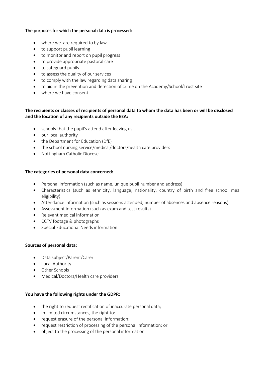# The purposes for which the personal data is processed:

- where we are required to by law
- to support pupil learning
- to monitor and report on pupil progress
- to provide appropriate pastoral care
- to safeguard pupils
- to assess the quality of our services
- to comply with the law regarding data sharing
- to aid in the prevention and detection of crime on the Academy/School/Trust site
- where we have consent

# **The recipients or classes of recipients of personal data to whom the data has been or will be disclosed and the location of any recipients outside the EEA:**

- schools that the pupil's attend after leaving us
- our local authority
- the Department for Education (DfE)
- the school nursing service/medical/doctors/health care providers
- Nottingham Catholic Diocese

# **The categories of personal data concerned:**

- Personal information (such as name, unique pupil number and address)
- Characteristics (such as ethnicity, language, nationality, country of birth and free school meal eligibility)
- Attendance information (such as sessions attended, number of absences and absence reasons)
- Assessment information (such as exam and test results)
- Relevant medical information
- CCTV footage & photographs
- Special Educational Needs information

# **Sources of personal data:**

- Data subject/Parent/Carer
- Local Authority
- Other Schools
- Medical/Doctors/Health care providers

# **You have the following rights under the GDPR:**

- the right to request rectification of inaccurate personal data;
- In limited circumstances, the right to:
- request erasure of the personal information;
- request restriction of processing of the personal information; or
- object to the processing of the personal information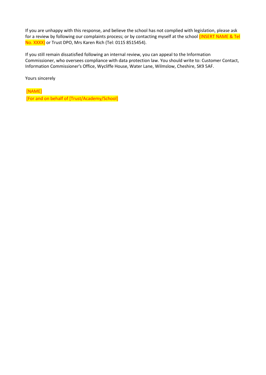If you are unhappy with this response, and believe the school has not complied with legislation, please ask for a review by following our complaints process; or by contacting myself at the school *(INSERT NAME & Tel* No. XXXX) or Trust DPO, Mrs Karen Rich (Tel: 0115 8515454).

If you still remain dissatisfied following an internal review, you can appeal to the Information Commissioner, who oversees compliance with data protection law. You should write to: Customer Contact, Information Commissioner's Office, Wycliffe House, Water Lane, Wilmslow, Cheshire, SK9 5AF.

Yours sincerely

[NAME]

[For and on behalf of [Trust/Academy/School]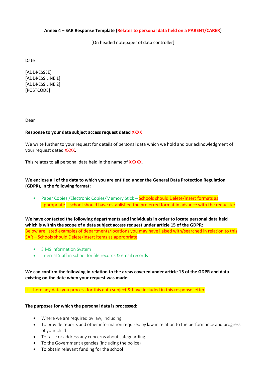#### **Annex 4 – SAR Response Template (Relates to personal data held on a PARENT/CARER)**

[On headed notepaper of data controller]

Date

[ADDRESSEE] [ADDRESS LINE 1] [ADDRESS LINE 2] [POSTCODE]

Dear

#### **Response to your data subject access request dated** XXXX

We write further to your request for details of personal data which we hold and our acknowledgment of your request dated XXXX.

This relates to all personal data held in the name of XXXXX.

# **We enclose all of the data to which you are entitled under the General Data Protection Regulation (GDPR), in the following format:**

• Paper Copies / Electronic Copies/Memory Stick – Schools should Delete/Insert formats as appropriate – school should have established the preferred format in advance with the requester

**We have contacted the following departments and individuals in order to locate personal data held which is within the scope of a data subject access request under article 15 of the GDPR:** Below are listed examples of departments/locations you may have liaised with/searched in relation to this SAR – Schools should Delete/Insert items as appropriate

- SIMS Information System
- Internal Staff in school for file records & email records

**We can confirm the following in relation to the areas covered under article 15 of the GDPR and data existing on the date when your request was made:**

List here any data you process for this data subject & have included in this response letter

#### **The purposes for which the personal data is processed:**

- Where we are required by law, including:
- To provide reports and other information required by law in relation to the performance and progress of your child
- To raise or address any concerns about safeguarding
- To the Government agencies (including the police)
- To obtain relevant funding for the school